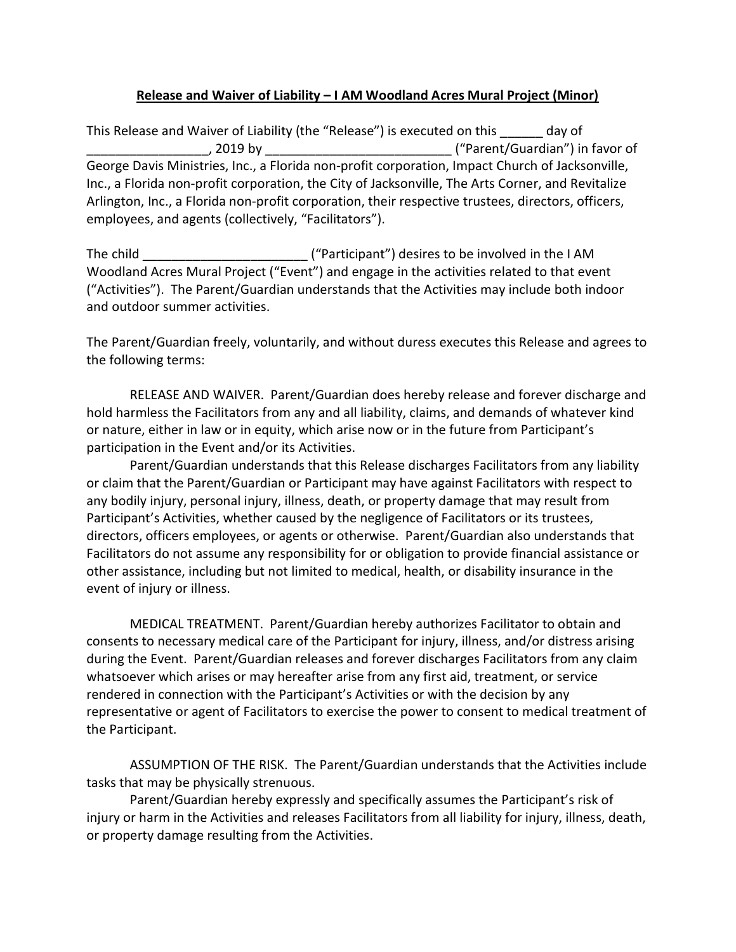## Release and Waiver of Liability – I AM Woodland Acres Mural Project (Minor)

This Release and Waiver of Liability (the "Release") is executed on this \_\_\_\_\_\_ day of \_\_\_\_\_\_\_\_\_\_\_\_\_\_\_\_\_, 2019 by \_\_\_\_\_\_\_\_\_\_\_\_\_\_\_\_\_\_\_\_\_\_\_\_\_\_ ("Parent/Guardian") in favor of George Davis Ministries, Inc., a Florida non-profit corporation, Impact Church of Jacksonville, Inc., a Florida non-profit corporation, the City of Jacksonville, The Arts Corner, and Revitalize Arlington, Inc., a Florida non-profit corporation, their respective trustees, directors, officers, employees, and agents (collectively, "Facilitators").

The child The child  $($ "Participant") desires to be involved in the IAM Woodland Acres Mural Project ("Event") and engage in the activities related to that event ("Activities"). The Parent/Guardian understands that the Activities may include both indoor and outdoor summer activities.

The Parent/Guardian freely, voluntarily, and without duress executes this Release and agrees to the following terms:

RELEASE AND WAIVER. Parent/Guardian does hereby release and forever discharge and hold harmless the Facilitators from any and all liability, claims, and demands of whatever kind or nature, either in law or in equity, which arise now or in the future from Participant's participation in the Event and/or its Activities.

 Parent/Guardian understands that this Release discharges Facilitators from any liability or claim that the Parent/Guardian or Participant may have against Facilitators with respect to any bodily injury, personal injury, illness, death, or property damage that may result from Participant's Activities, whether caused by the negligence of Facilitators or its trustees, directors, officers employees, or agents or otherwise. Parent/Guardian also understands that Facilitators do not assume any responsibility for or obligation to provide financial assistance or other assistance, including but not limited to medical, health, or disability insurance in the event of injury or illness.

MEDICAL TREATMENT. Parent/Guardian hereby authorizes Facilitator to obtain and consents to necessary medical care of the Participant for injury, illness, and/or distress arising during the Event. Parent/Guardian releases and forever discharges Facilitators from any claim whatsoever which arises or may hereafter arise from any first aid, treatment, or service rendered in connection with the Participant's Activities or with the decision by any representative or agent of Facilitators to exercise the power to consent to medical treatment of the Participant.

ASSUMPTION OF THE RISK. The Parent/Guardian understands that the Activities include tasks that may be physically strenuous.

 Parent/Guardian hereby expressly and specifically assumes the Participant's risk of injury or harm in the Activities and releases Facilitators from all liability for injury, illness, death, or property damage resulting from the Activities.